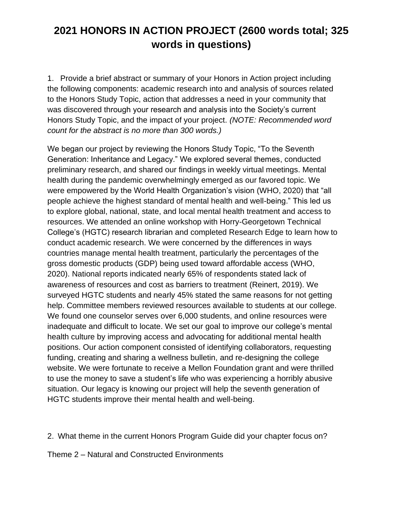1. Provide a brief abstract or summary of your Honors in Action project including the following components: academic research into and analysis of sources related to the Honors Study Topic, action that addresses a need in your community that was discovered through your research and analysis into the Society's current Honors Study Topic, and the impact of your project. *(NOTE: Recommended word count for the abstract is no more than 300 words.)*

We began our project by reviewing the Honors Study Topic, "To the Seventh Generation: Inheritance and Legacy." We explored several themes, conducted preliminary research, and shared our findings in weekly virtual meetings. Mental health during the pandemic overwhelmingly emerged as our favored topic. We were empowered by the World Health Organization's vision (WHO, 2020) that "all people achieve the highest standard of mental health and well-being." This led us to explore global, national, state, and local mental health treatment and access to resources. We attended an online workshop with Horry-Georgetown Technical College's (HGTC) research librarian and completed Research Edge to learn how to conduct academic research. We were concerned by the differences in ways countries manage mental health treatment, particularly the percentages of the gross domestic products (GDP) being used toward affordable access (WHO, 2020). National reports indicated nearly 65% of respondents stated lack of awareness of resources and cost as barriers to treatment (Reinert, 2019). We surveyed HGTC students and nearly 45% stated the same reasons for not getting help. Committee members reviewed resources available to students at our college. We found one counselor serves over 6,000 students, and online resources were inadequate and difficult to locate. We set our goal to improve our college's mental health culture by improving access and advocating for additional mental health positions. Our action component consisted of identifying collaborators, requesting funding, creating and sharing a wellness bulletin, and re-designing the college website. We were fortunate to receive a Mellon Foundation grant and were thrilled to use the money to save a student's life who was experiencing a horribly abusive situation. Our legacy is knowing our project will help the seventh generation of HGTC students improve their mental health and well-being.

2. What theme in the current Honors Program Guide did your chapter focus on?

Theme 2 – Natural and Constructed Environments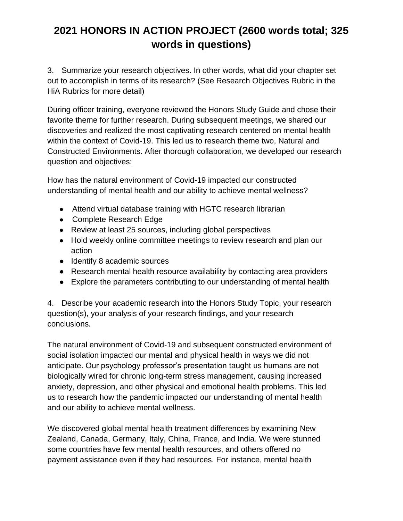3. Summarize your research objectives. In other words, what did your chapter set out to accomplish in terms of its research? (See Research Objectives Rubric in the HiA Rubrics for more detail)

During officer training, everyone reviewed the Honors Study Guide and chose their favorite theme for further research. During subsequent meetings, we shared our discoveries and realized the most captivating research centered on mental health within the context of Covid-19. This led us to research theme two, Natural and Constructed Environments. After thorough collaboration, we developed our research question and objectives:

How has the natural environment of Covid-19 impacted our constructed understanding of mental health and our ability to achieve mental wellness?

- Attend virtual database training with HGTC research librarian
- Complete Research Edge
- Review at least 25 sources, including global perspectives
- Hold weekly online committee meetings to review research and plan our action
- Identify 8 academic sources
- Research mental health resource availability by contacting area providers
- Explore the parameters contributing to our understanding of mental health

4. Describe your academic research into the Honors Study Topic, your research question(s), your analysis of your research findings, and your research conclusions.

The natural environment of Covid-19 and subsequent constructed environment of social isolation impacted our mental and physical health in ways we did not anticipate. Our psychology professor's presentation taught us humans are not biologically wired for chronic long-term stress management, causing increased anxiety, depression, and other physical and emotional health problems. This led us to research how the pandemic impacted our understanding of mental health and our ability to achieve mental wellness.

We discovered global mental health treatment differences by examining New Zealand, Canada, Germany, Italy, China, France, and India*.* We were stunned some countries have few mental health resources, and others offered no payment assistance even if they had resources. For instance, mental health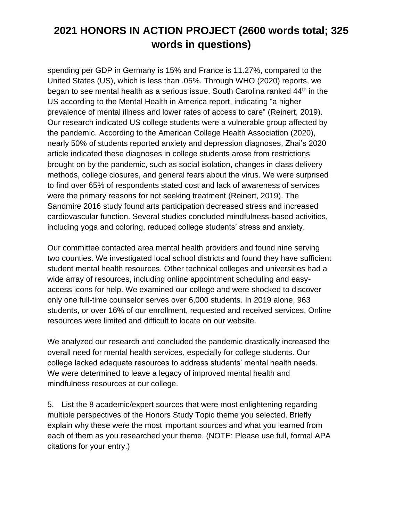spending per GDP in Germany is 15% and France is 11.27%, compared to the United States (US), which is less than .05%. Through WHO (2020) reports, we began to see mental health as a serious issue. South Carolina ranked 44th in the US according to the Mental Health in America report, indicating "a higher prevalence of mental illness and lower rates of access to care" (Reinert, 2019). Our research indicated US college students were a vulnerable group affected by the pandemic. According to the American College Health Association (2020), nearly 50% of students reported anxiety and depression diagnoses. Zhai's 2020 article indicated these diagnoses in college students arose from restrictions brought on by the pandemic, such as social isolation, changes in class delivery methods, college closures, and general fears about the virus. We were surprised to find over 65% of respondents stated cost and lack of awareness of services were the primary reasons for not seeking treatment (Reinert, 2019). The Sandmire 2016 study found arts participation decreased stress and increased cardiovascular function. Several studies concluded mindfulness-based activities, including yoga and coloring, reduced college students' stress and anxiety.

Our committee contacted area mental health providers and found nine serving two counties. We investigated local school districts and found they have sufficient student mental health resources. Other technical colleges and universities had a wide array of resources, including online appointment scheduling and easyaccess icons for help. We examined our college and were shocked to discover only one full-time counselor serves over 6,000 students. In 2019 alone, 963 students, or over 16% of our enrollment, requested and received services. Online resources were limited and difficult to locate on our website.

We analyzed our research and concluded the pandemic drastically increased the overall need for mental health services, especially for college students. Our college lacked adequate resources to address students' mental health needs. We were determined to leave a legacy of improved mental health and mindfulness resources at our college.

5. List the 8 academic/expert sources that were most enlightening regarding multiple perspectives of the Honors Study Topic theme you selected. Briefly explain why these were the most important sources and what you learned from each of them as you researched your theme. (NOTE: Please use full, formal APA citations for your entry.)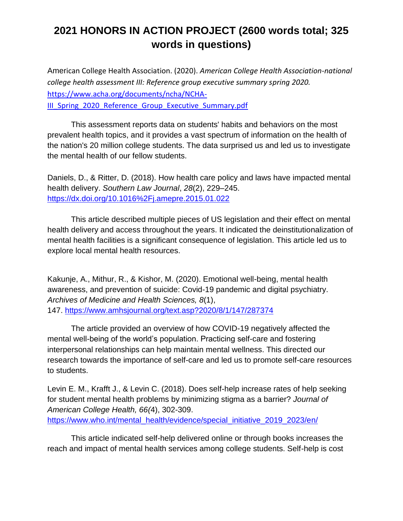American College Health Association. (2020). *American College Health Association-national college health assessment III: Reference group executive summary spring 2020.*  [https://www.acha.org/documents/ncha/NCHA-](https://www.acha.org/documents/ncha/NCHA-III_Spring_2020_Reference_Group_Executive_Summary.pdf)III Spring 2020 Reference Group Executive Summary.pdf

This assessment reports data on students' habits and behaviors on the most prevalent health topics, and it provides a vast spectrum of information on the health of the nation's 20 million college students. The data surprised us and led us to investigate the mental health of our fellow students.

Daniels, D., & Ritter, D. (2018). How health care policy and laws have impacted mental health delivery. *Southern Law Journal*, *28*(2), 229–245. <https://dx.doi.org/10.1016%2Fj.amepre.2015.01.022>

This article described multiple pieces of US legislation and their effect on mental health delivery and access throughout the years. It indicated the deinstitutionalization of mental health facilities is a significant consequence of legislation. This article led us to explore local mental health resources.

Kakunje, A., Mithur, R., & Kishor, M. (2020). Emotional well-being, mental health awareness, and prevention of suicide: Covid-19 pandemic and digital psychiatry. *Archives of Medicine and Health Sciences, 8*(1), 147. <https://www.amhsjournal.org/text.asp?2020/8/1/147/287374>

The article provided an overview of how COVID-19 negatively affected the mental well-being of the world's population. Practicing self-care and fostering interpersonal relationships can help maintain mental wellness. This directed our research towards the importance of self-care and led us to promote self-care resources to students.

Levin E. M., Krafft J., & Levin C. (2018). Does self-help increase rates of help seeking for student mental health problems by minimizing stigma as a barrier? *Journal of American College Health, 66(*4), 302-309. [https://www.who.int/mental\\_health/evidence/special\\_initiative\\_2019\\_2023/en/](https://www.who.int/mental_health/evidence/special_initiative_2019_2023/en/)

This article indicated self-help delivered online or through books increases the reach and impact of mental health services among college students. Self-help is cost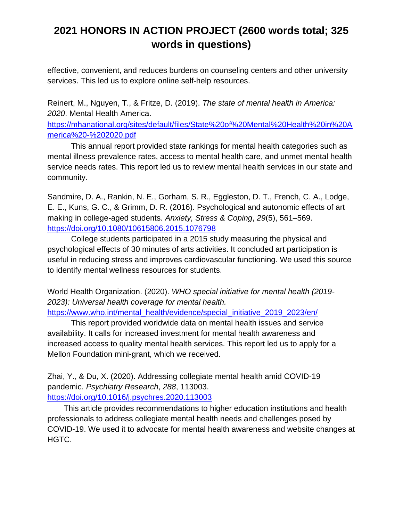effective, convenient, and reduces burdens on counseling centers and other university services. This led us to explore online self-help resources.

Reinert, M., Nguyen, T., & Fritze, D. (2019). *The state of mental health in America: 2020*. Mental Health America.

[https://mhanational.org/sites/default/files/State%20of%20Mental%20Health%20in%20A](https://mhanational.org/sites/default/files/State%20of%20Mental%20Health%20in%20America%20-%202020.pdf) [merica%20-%202020.pdf](https://mhanational.org/sites/default/files/State%20of%20Mental%20Health%20in%20America%20-%202020.pdf)

This annual report provided state rankings for mental health categories such as mental illness prevalence rates, access to mental health care, and unmet mental health service needs rates. This report led us to review mental health services in our state and community.

Sandmire, D. A., Rankin, N. E., Gorham, S. R., Eggleston, D. T., French, C. A., Lodge, E. E., Kuns, G. C., & Grimm, D. R. (2016). Psychological and autonomic effects of art making in college-aged students. *Anxiety, Stress & Coping*, *29*(5), 561–569. <https://doi.org/10.1080/10615806.2015.1076798>

College students participated in a 2015 study measuring the physical and psychological effects of 30 minutes of arts activities. It concluded art participation is useful in reducing stress and improves cardiovascular functioning. We used this source to identify mental wellness resources for students.

World Health Organization. (2020). *WHO special initiative for mental health (2019- 2023): Universal health coverage for mental health.* 

[https://www.who.int/mental\\_health/evidence/special\\_initiative\\_2019\\_2023/en/](https://www.who.int/mental_health/evidence/special_initiative_2019_2023/en/)

This report provided worldwide data on mental health issues and service availability. It calls for increased investment for mental health awareness and increased access to quality mental health services. This report led us to apply for a Mellon Foundation mini-grant, which we received.

Zhai, Y., & Du, X. (2020). Addressing collegiate mental health amid COVID-19 pandemic. *Psychiatry Research*, *288*, 113003. <https://doi.org/10.1016/j.psychres.2020.113003>

This article provides recommendations to higher education institutions and health professionals to address collegiate mental health needs and challenges posed by COVID-19. We used it to advocate for mental health awareness and website changes at HGTC.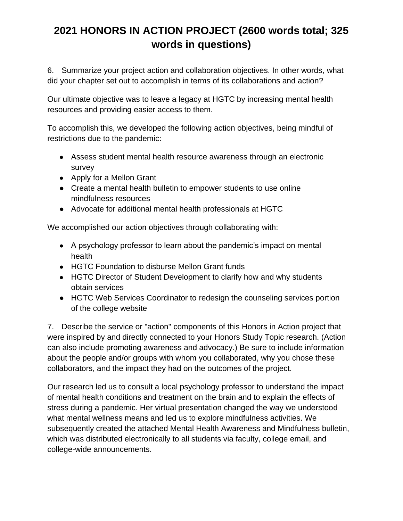6. Summarize your project action and collaboration objectives. In other words, what did your chapter set out to accomplish in terms of its collaborations and action?

Our ultimate objective was to leave a legacy at HGTC by increasing mental health resources and providing easier access to them.

To accomplish this, we developed the following action objectives, being mindful of restrictions due to the pandemic:

- Assess student mental health resource awareness through an electronic survey
- Apply for a Mellon Grant
- Create a mental health bulletin to empower students to use online mindfulness resources
- Advocate for additional mental health professionals at HGTC

We accomplished our action objectives through collaborating with:

- A psychology professor to learn about the pandemic's impact on mental health
- HGTC Foundation to disburse Mellon Grant funds
- HGTC Director of Student Development to clarify how and why students obtain services
- HGTC Web Services Coordinator to redesign the counseling services portion of the college website

7. Describe the service or "action" components of this Honors in Action project that were inspired by and directly connected to your Honors Study Topic research. (Action can also include promoting awareness and advocacy.) Be sure to include information about the people and/or groups with whom you collaborated, why you chose these collaborators, and the impact they had on the outcomes of the project.

Our research led us to consult a local psychology professor to understand the impact of mental health conditions and treatment on the brain and to explain the effects of stress during a pandemic. Her virtual presentation changed the way we understood what mental wellness means and led us to explore mindfulness activities. We subsequently created the attached Mental Health Awareness and Mindfulness bulletin, which was distributed electronically to all students via faculty, college email, and college-wide announcements.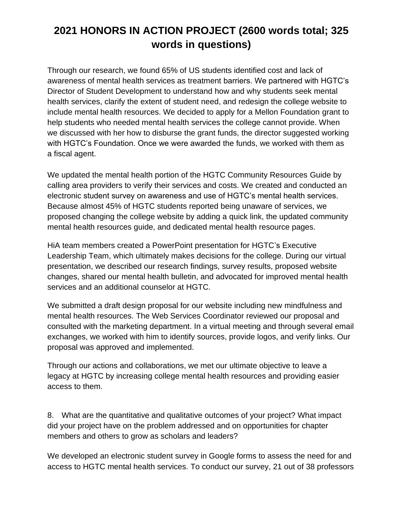Through our research, we found 65% of US students identified cost and lack of awareness of mental health services as treatment barriers. We partnered with HGTC's Director of Student Development to understand how and why students seek mental health services, clarify the extent of student need, and redesign the college website to include mental health resources. We decided to apply for a Mellon Foundation grant to help students who needed mental health services the college cannot provide. When we discussed with her how to disburse the grant funds, the director suggested working with HGTC's Foundation. Once we were awarded the funds, we worked with them as a fiscal agent.

We updated the mental health portion of the HGTC Community Resources Guide by calling area providers to verify their services and costs. We created and conducted an electronic student survey on awareness and use of HGTC's mental health services. Because almost 45% of HGTC students reported being unaware of services, we proposed changing the college website by adding a quick link, the updated community mental health resources guide, and dedicated mental health resource pages.

HiA team members created a PowerPoint presentation for HGTC's Executive Leadership Team, which ultimately makes decisions for the college. During our virtual presentation, we described our research findings, survey results, proposed website changes, shared our mental health bulletin, and advocated for improved mental health services and an additional counselor at HGTC.

We submitted a draft design proposal for our website including new mindfulness and mental health resources. The Web Services Coordinator reviewed our proposal and consulted with the marketing department. In a virtual meeting and through several email exchanges, we worked with him to identify sources, provide logos, and verify links. Our proposal was approved and implemented.

Through our actions and collaborations, we met our ultimate objective to leave a legacy at HGTC by increasing college mental health resources and providing easier access to them.

8. What are the quantitative and qualitative outcomes of your project? What impact did your project have on the problem addressed and on opportunities for chapter members and others to grow as scholars and leaders?

We developed an electronic student survey in Google forms to assess the need for and access to HGTC mental health services. To conduct our survey, 21 out of 38 professors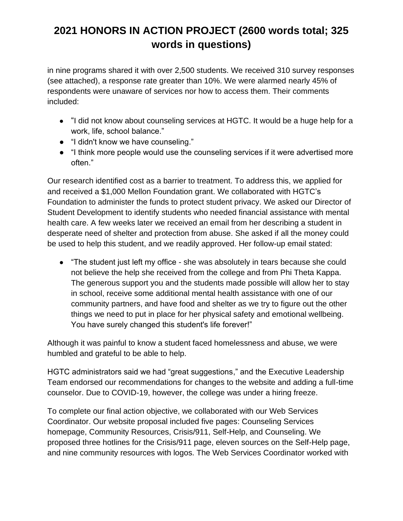in nine programs shared it with over 2,500 students. We received 310 survey responses (see attached), a response rate greater than 10%. We were alarmed nearly 45% of respondents were unaware of services nor how to access them. Their comments included:

- "I did not know about counseling services at HGTC. It would be a huge help for a work, life, school balance."
- "I didn't know we have counseling."
- "I think more people would use the counseling services if it were advertised more often."

Our research identified cost as a barrier to treatment. To address this, we applied for and received a \$1,000 Mellon Foundation grant. We collaborated with HGTC's Foundation to administer the funds to protect student privacy. We asked our Director of Student Development to identify students who needed financial assistance with mental health care. A few weeks later we received an email from her describing a student in desperate need of shelter and protection from abuse. She asked if all the money could be used to help this student, and we readily approved. Her follow-up email stated:

● "The student just left my office - she was absolutely in tears because she could not believe the help she received from the college and from Phi Theta Kappa. The generous support you and the students made possible will allow her to stay in school, receive some additional mental health assistance with one of our community partners, and have food and shelter as we try to figure out the other things we need to put in place for her physical safety and emotional wellbeing. You have surely changed this student's life forever!"

Although it was painful to know a student faced homelessness and abuse, we were humbled and grateful to be able to help.

HGTC administrators said we had "great suggestions," and the Executive Leadership Team endorsed our recommendations for changes to the website and adding a full-time counselor. Due to COVID-19, however, the college was under a hiring freeze.

To complete our final action objective, we collaborated with our Web Services Coordinator. Our website proposal included five pages: Counseling Services homepage, Community Resources, Crisis/911, Self-Help, and Counseling. We proposed three hotlines for the Crisis/911 page, eleven sources on the Self-Help page, and nine community resources with logos. The Web Services Coordinator worked with